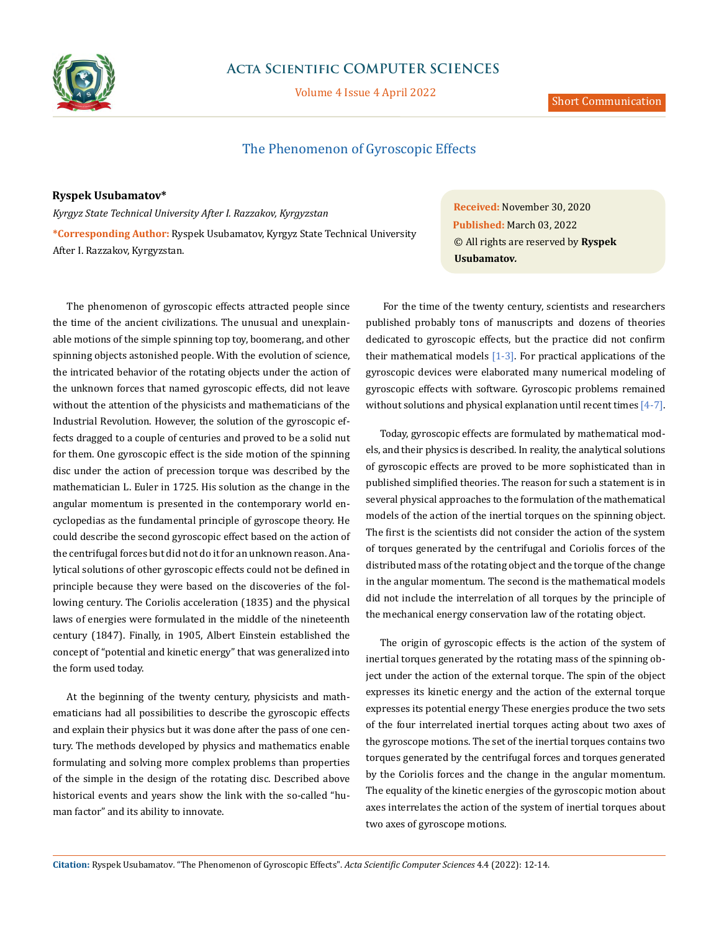

# **Acta Scientific COMPUTER SCIENCES**

Volume 4 Issue 4 April 2022

## The Phenomenon of Gyroscopic Effects

## **Ryspek Usubamatov\***

*Kyrgyz State Technical University After I. Razzakov, Kyrgyzstan* **\*Corresponding Author:** Ryspek Usubamatov, Kyrgyz State Technical University After I. Razzakov, Kyrgyzstan.

The phenomenon of gyroscopic effects attracted people since the time of the ancient civilizations. The unusual and unexplainable motions of the simple spinning top toy, boomerang, and other spinning objects astonished people. With the evolution of science, the intricated behavior of the rotating objects under the action of the unknown forces that named gyroscopic effects, did not leave without the attention of the physicists and mathematicians of the Industrial Revolution. However, the solution of the gyroscopic effects dragged to a couple of centuries and proved to be a solid nut for them. One gyroscopic effect is the side motion of the spinning disc under the action of precession torque was described by the mathematician L. Euler in 1725. His solution as the change in the angular momentum is presented in the contemporary world encyclopedias as the fundamental principle of gyroscope theory. He could describe the second gyroscopic effect based on the action of the centrifugal forces but did not do it for an unknown reason. Analytical solutions of other gyroscopic effects could not be defined in principle because they were based on the discoveries of the following century. The Coriolis acceleration (1835) and the physical laws of energies were formulated in the middle of the nineteenth century (1847). Finally, in 1905, Albert Einstein established the concept of "potential and kinetic energy" that was generalized into the form used today.

At the beginning of the twenty century, physicists and mathematicians had all possibilities to describe the gyroscopic effects and explain their physics but it was done after the pass of one century. The methods developed by physics and mathematics enable formulating and solving more complex problems than properties of the simple in the design of the rotating disc. Described above historical events and years show the link with the so-called "human factor" and its ability to innovate.

**Received:** November 30, 2020 **Published:** March 03, 2022 © All rights are reserved by **Ryspek Usubamatov***.*

 For the time of the twenty century, scientists and researchers published probably tons of manuscripts and dozens of theories dedicated to gyroscopic effects, but the practice did not confirm their mathematical models  $[1-3]$ . For practical applications of the gyroscopic devices were elaborated many numerical modeling of gyroscopic effects with software. Gyroscopic problems remained without solutions and physical explanation until recent times [4-7].

Today, gyroscopic effects are formulated by mathematical models, and their physics is described. In reality, the analytical solutions of gyroscopic effects are proved to be more sophisticated than in published simplified theories. The reason for such a statement is in several physical approaches to the formulation of the mathematical models of the action of the inertial torques on the spinning object. The first is the scientists did not consider the action of the system of torques generated by the centrifugal and Coriolis forces of the distributed mass of the rotating object and the torque of the change in the angular momentum. The second is the mathematical models did not include the interrelation of all torques by the principle of the mechanical energy conservation law of the rotating object.

The origin of gyroscopic effects is the action of the system of inertial torques generated by the rotating mass of the spinning object under the action of the external torque. The spin of the object expresses its kinetic energy and the action of the external torque expresses its potential energy These energies produce the two sets of the four interrelated inertial torques acting about two axes of the gyroscope motions. The set of the inertial torques contains two torques generated by the centrifugal forces and torques generated by the Coriolis forces and the change in the angular momentum. The equality of the kinetic energies of the gyroscopic motion about axes interrelates the action of the system of inertial torques about two axes of gyroscope motions.

**Citation:** Ryspek Usubamatov*.* "The Phenomenon of Gyroscopic Effects". *Acta Scientific Computer Sciences* 4.4 (2022): 12-14.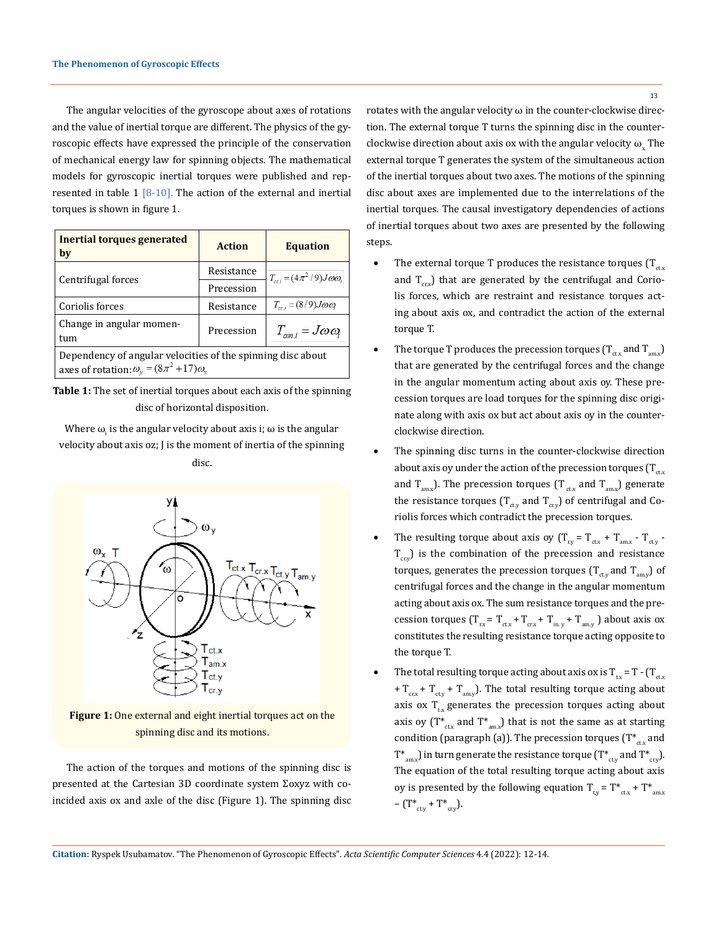The angular velocities of the gyroscope about axes of rotations and the value of inertial torque are different. The physics of the gyroscopic effects have expressed the principle of the conservation of mechanical energy law for spinning objects. The mathematical models for gyroscopic inertial torques were published and represented in table  $1 \times 10$ . The action of the external and inertial torques is shown in figure 1.

| Inertial torques generated<br>by                                                                                    | <b>Action</b> | <b>Equation</b>                        |
|---------------------------------------------------------------------------------------------------------------------|---------------|----------------------------------------|
| Centrifugal forces                                                                                                  | Resistance    | $T_{ct,i} = (4\pi^2/9)J\omega\omega_i$ |
|                                                                                                                     | Precession    |                                        |
| Coriolis forces                                                                                                     | Resistance    | $T_{cr} = (8/9)J\omega\omega$          |
| Change in angular momen-<br>tum                                                                                     | Precession    | $T_{\alpha m i} = J \omega \omega_i$   |
| Dependency of angular velocities of the spinning disc about<br>axes of rotation: $\omega_v = (8\pi^2 + 17)\omega_x$ |               |                                        |

**Table 1:** The set of inertial torques about each axis of the spinning disc of horizontal disposition.

Where  $\omega_{_{\rm i}}$  is the angular velocity about axis i;  $\omega$  is the angular velocity about axis oz; J is the moment of inertia of the spinning disc.



**Figure 1:** One external and eight inertial torques act on the spinning disc and its motions.

The action of the torques and motions of the spinning disc is presented at the Cartesian 3D coordinate system Σoxyz with coincided axis ox and axle of the disc (Figure 1). The spinning disc rotates with the angular velocity  $\omega$  in the counter-clockwise direction. The external torque T turns the spinning disc in the counterclockwise direction about axis ox with the angular velocity  $\omega$ . The external torque T generates the system of the simultaneous action of the inertial torques about two axes. The motions of the spinning disc about axes are implemented due to the interrelations of the inertial torques. The causal investigatory dependencies of actions of inertial torques about two axes are presented by the following steps.

- The external torque T produces the resistance torques ( $T_{\text{ctx}}$ and  $T_{\text{crv}}$ ) that are generated by the centrifugal and Coriolis forces, which are restraint and resistance torques acting about axis ox, and contradict the action of the external torque T.
- The torque T produces the precession torques  $(T_{\text{ctx}}$  and  $T_{\text{env}})$ that are generated by the centrifugal forces and the change in the angular momentum acting about axis oy. These precession torques are load torques for the spinning disc originate along with axis ox but act about axis oy in the counterclockwise direction.
- The spinning disc turns in the counter-clockwise direction about axis oy under the action of the precession torques  $(T_{\text{ctx}})$ and  $T_{\text{max}}$ ). The precession torques (T<sub>ctx</sub> and T<sub>amx</sub>) generate the resistance torques ( $T_{\text{cty}}$  and  $T_{\text{cty}}$ ) of centrifugal and Coriolis forces which contradict the precession torques.
- The resulting torque about axis oy (T $\rm_{\rm{ry}}$  = T $\rm_{\rm{ctx}}$  T $\rm_{\rm{cty}}$  - $T_{crv}$ ) is the combination of the precession and resistance torques, generates the precession torques  $(T_{\text{cty}}$  and  $T_{\text{amy}})$  of centrifugal forces and the change in the angular momentum acting about axis ox. The sum resistance torques and the precession torques ( $T_{rx} = T_{ctx} + T_{cx} + T_{in. y} + T_{am. y}$ ) about axis ox constitutes the resulting resistance torque acting opposite to the torque T.
- The total resulting torque acting about axis ox is  $T_{tx} = T (T_{ctx})$ +  $T_{\text{crx}}$  +  $T_{\text{cty}}$  +  $T_{\text{amy}}$ ). The total resulting torque acting about axis ox  $T_{tx}$  generates the precession torques acting about axis oy  $(T^*_{\text{ctx}}$  and  $T^*_{\text{amx}})$  that is not the same as at starting condition (paragraph (a)). The precession torques ( $T^*_{\text{ctx}}$  and  $T^*_{max}$ ) in turn generate the resistance torque ( $T^*_{max}$  and  $T^*_{cxy}$ ). The equation of the total resulting torque acting about axis oy is presented by the following equation  $T_{tx} = T^*_{ctx} + T^*_{am.x}$  $(T^*_{\text{ctv}} + T^*_{\text{ctv}}).$

**Citation:** Ryspek Usubamatov*.* "The Phenomenon of Gyroscopic Effects". *Acta Scientific Computer Sciences* 4.4 (2022): 12-14.

13